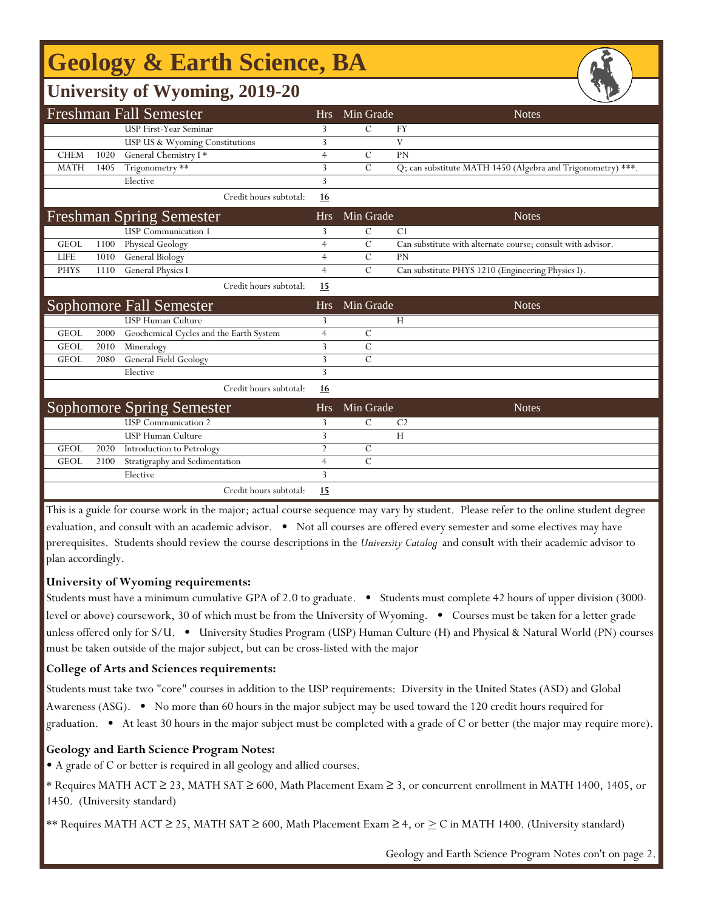# **Geology & Earth Science, BA**

### **University of Wyoming, 2019-20**

| <b>Freshman Fall Semester</b> |      |                                         |                | Min Grade     | <b>Notes</b>                                                |
|-------------------------------|------|-----------------------------------------|----------------|---------------|-------------------------------------------------------------|
|                               |      | <b>USP First-Year Seminar</b>           | 3              | $\mathcal{C}$ | FY                                                          |
|                               |      | USP US & Wyoming Constitutions          | 3              |               | V                                                           |
| <b>CHEM</b>                   | 1020 | General Chemistry I*                    | $\overline{4}$ | $\mathcal{C}$ | PN                                                          |
| <b>MATH</b>                   | 1405 | Trigonometry **                         | 3              | $\mathcal{C}$ | Q; can substitute MATH 1450 (Algebra and Trigonometry) ***. |
|                               |      | Elective                                | 3              |               |                                                             |
|                               |      | Credit hours subtotal:                  | <u>16</u>      |               |                                                             |
|                               |      | <b>Freshman Spring Semester</b>         | Hrs            | Min Grade     | <b>Notes</b>                                                |
|                               |      | <b>USP</b> Communication 1              | 3              | $\mathbf C$   | C <sub>1</sub>                                              |
| <b>GEOL</b>                   | 1100 | Physical Geology                        | $\overline{4}$ | $\mathcal{C}$ | Can substitute with alternate course; consult with advisor. |
| <b>LIFE</b>                   | 1010 | <b>General Biology</b>                  | $\overline{4}$ | $\mathcal{C}$ | PN                                                          |
| <b>PHYS</b>                   | 1110 | General Physics I                       | $\overline{4}$ | $\mathcal{C}$ | Can substitute PHYS 1210 (Engineering Physics I).           |
|                               |      | Credit hours subtotal:                  | 15             |               |                                                             |
|                               |      | Sophomore Fall Semester                 | <b>Hrs</b>     | Min Grade     | <b>Notes</b>                                                |
|                               |      | <b>USP Human Culture</b>                | 3              |               | H                                                           |
| <b>GEOL</b>                   | 2000 | Geochemical Cycles and the Earth System | $\overline{4}$ | $\mathcal{C}$ |                                                             |
| <b>GEOL</b>                   | 2010 | Mineralogy                              | 3              | $\mathcal{C}$ |                                                             |
| <b>GEOL</b>                   | 2080 | <b>General Field Geology</b>            | 3              | $\mathbf C$   |                                                             |
|                               |      | Elective                                | 3              |               |                                                             |
|                               |      | Credit hours subtotal:                  | <u>16</u>      |               |                                                             |
|                               |      | <b>Sophomore Spring Semester</b>        | <b>Hrs</b>     | Min Grade     | <b>Notes</b>                                                |
|                               |      | <b>USP</b> Communication 2              | 3              | $\mathcal{C}$ | C <sub>2</sub>                                              |
|                               |      | <b>USP</b> Human Culture                | 3              |               | H                                                           |
| <b>GEOL</b>                   | 2020 | Introduction to Petrology               | $\overline{2}$ | $\mathcal{C}$ |                                                             |
| <b>GEOL</b>                   | 2100 | Stratigraphy and Sedimentation          | $\overline{4}$ | $\mathcal{C}$ |                                                             |
|                               |      | Elective                                | 3              |               |                                                             |
|                               |      | Credit hours subtotal:                  | 15             |               |                                                             |

This is a guide for course work in the major; actual course sequence may vary by student. Please refer to the online student degree evaluation, and consult with an academic advisor. • Not all courses are offered every semester and some electives may have prerequisites. Students should review the course descriptions in the *University Catalog* and consult with their academic advisor to plan accordingly.

#### **University of Wyoming requirements:**

Students must have a minimum cumulative GPA of 2.0 to graduate. • Students must complete 42 hours of upper division (3000 level or above) coursework, 30 of which must be from the University of Wyoming. • Courses must be taken for a letter grade unless offered only for S/U. • University Studies Program (USP) Human Culture (H) and Physical & Natural World (PN) courses must be taken outside of the major subject, but can be cross-listed with the major

#### **College of Arts and Sciences requirements:**

Students must take two "core" courses in addition to the USP requirements: Diversity in the United States (ASD) and Global Awareness (ASG). • No more than 60 hours in the major subject may be used toward the 120 credit hours required for graduation. • At least 30 hours in the major subject must be completed with a grade of C or better (the major may require more).

#### **Geology and Earth Science Program Notes:**

f

• A grade of C or better is required in all geology and allied courses.

\* Requires MATH ACT ≥ 23, MATH SAT ≥ 600, Math Placement Exam ≥ 3, or concurrent enrollment in MATH 1400, 1405, or 1450. (University standard)

\*\* Requires MATH ACT ≥ 25, MATH SAT ≥ 600, Math Placement Exam ≥ 4, or  $\geq$  C in MATH 1400. (University standard)

Geology and Earth Science Program Notes con't on page 2.